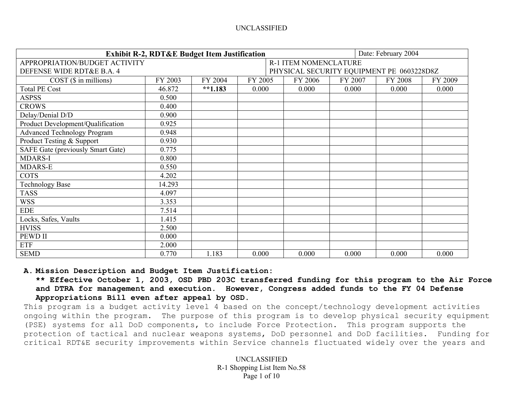|                                          | <b>Exhibit R-2, RDT&amp;E Budget Item Justification</b> |           | Date: February 2004 |                                           |         |         |         |  |  |  |  |
|------------------------------------------|---------------------------------------------------------|-----------|---------------------|-------------------------------------------|---------|---------|---------|--|--|--|--|
| APPROPRIATION/BUDGET ACTIVITY            |                                                         |           |                     | <b>R-1 ITEM NOMENCLATURE</b>              |         |         |         |  |  |  |  |
| DEFENSE WIDE RDT&E B.A. 4                |                                                         |           |                     | PHYSICAL SECURITY EQUIPMENT PE 0603228D8Z |         |         |         |  |  |  |  |
| $COST$ ( $\$$ in millions)               | FY 2003                                                 | FY 2004   | FY 2005             | FY 2006                                   | FY 2007 | FY 2008 | FY 2009 |  |  |  |  |
| <b>Total PE Cost</b>                     | 46.872                                                  | $**1.183$ | 0.000               | 0.000                                     | 0.000   | 0.000   | 0.000   |  |  |  |  |
| <b>ASPSS</b>                             | 0.500                                                   |           |                     |                                           |         |         |         |  |  |  |  |
| <b>CROWS</b>                             | 0.400                                                   |           |                     |                                           |         |         |         |  |  |  |  |
| Delay/Denial D/D                         | 0.900                                                   |           |                     |                                           |         |         |         |  |  |  |  |
| Product Development/Qualification        | 0.925                                                   |           |                     |                                           |         |         |         |  |  |  |  |
| <b>Advanced Technology Program</b>       | 0.948                                                   |           |                     |                                           |         |         |         |  |  |  |  |
| Product Testing & Support                | 0.930                                                   |           |                     |                                           |         |         |         |  |  |  |  |
| <b>SAFE Gate (previously Smart Gate)</b> | 0.775                                                   |           |                     |                                           |         |         |         |  |  |  |  |
| <b>MDARS-I</b>                           | 0.800                                                   |           |                     |                                           |         |         |         |  |  |  |  |
| <b>MDARS-E</b>                           | 0.550                                                   |           |                     |                                           |         |         |         |  |  |  |  |
| <b>COTS</b>                              | 4.202                                                   |           |                     |                                           |         |         |         |  |  |  |  |
| <b>Technology Base</b>                   | 14.293                                                  |           |                     |                                           |         |         |         |  |  |  |  |
| <b>TASS</b>                              | 4.097                                                   |           |                     |                                           |         |         |         |  |  |  |  |
| <b>WSS</b>                               | 3.353                                                   |           |                     |                                           |         |         |         |  |  |  |  |
| <b>EDE</b>                               | 7.514                                                   |           |                     |                                           |         |         |         |  |  |  |  |
| Locks, Safes, Vaults                     | 1.415                                                   |           |                     |                                           |         |         |         |  |  |  |  |
| <b>HVISS</b>                             | 2.500                                                   |           |                     |                                           |         |         |         |  |  |  |  |
| <b>PEWD II</b>                           | 0.000                                                   |           |                     |                                           |         |         |         |  |  |  |  |
| <b>ETF</b>                               | 2.000                                                   |           |                     |                                           |         |         |         |  |  |  |  |
| <b>SEMD</b>                              | 0.770                                                   | 1.183     | 0.000               | 0.000                                     | 0.000   | 0.000   | 0.000   |  |  |  |  |

## **A. Mission Description and Budget Item Justification:**

**\*\* Effective October 1, 2003, OSD PBD 203C transferred funding for this program to the Air Force and DTRA for management and execution. However, Congress added funds to the FY 04 Defense Appropriations Bill even after appeal by OSD.** 

This program is a budget activity level 4 based on the concept/technology development activities ongoing within the program. The purpose of this program is to develop physical security equipment (PSE) systems for all DoD components, to include Force Protection. This program supports the protection of tactical and nuclear weapons systems, DoD personnel and DoD facilities. Funding for critical RDT&E security improvements within Service channels fluctuated widely over the years and

> UNCLASSIFIED R-1 Shopping List Item No.58 Page 1 of 10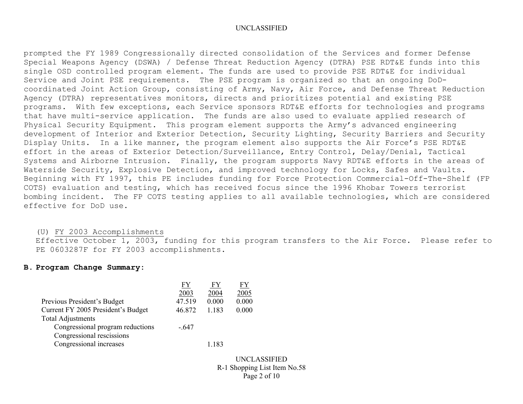prompted the FY 1989 Congressionally directed consolidation of the Services and former Defense Special Weapons Agency (DSWA) / Defense Threat Reduction Agency (DTRA) PSE RDT&E funds into this single OSD controlled program element. The funds are used to provide PSE RDT&E for individual Service and Joint PSE requirements. The PSE program is organized so that an ongoing DoDcoordinated Joint Action Group, consisting of Army, Navy, Air Force, and Defense Threat Reduction Agency (DTRA) representatives monitors, directs and prioritizes potential and existing PSE programs. With few exceptions, each Service sponsors RDT&E efforts for technologies and programs that have multi-service application. The funds are also used to evaluate applied research of Physical Security Equipment. This program element supports the Army's advanced engineering development of Interior and Exterior Detection, Security Lighting, Security Barriers and Security Display Units. In a like manner, the program element also supports the Air Force's PSE RDT&E effort in the areas of Exterior Detection/Surveillance, Entry Control, Delay/Denial, Tactical Systems and Airborne Intrusion. Finally, the program supports Navy RDT&E efforts in the areas of Waterside Security, Explosive Detection, and improved technology for Locks, Safes and Vaults. Beginning with FY 1997, this PE includes funding for Force Protection Commercial-Off-The-Shelf (FP COTS) evaluation and testing, which has received focus since the 1996 Khobar Towers terrorist bombing incident. The FP COTS testing applies to all available technologies, which are considered effective for DoD use.

#### (U) FY 2003 Accomplishments

Effective October 1, 2003, funding for this program transfers to the Air Force. Please refer to PE 0603287F for FY 2003 accomplishments.

## **B. Program Change Summary:**

|                                    | FY     |         | FY    |
|------------------------------------|--------|---------|-------|
|                                    | 2003   | 2004    | 2005  |
| Previous President's Budget        | 47.519 | 0.000   | 0.000 |
| Current FY 2005 President's Budget | 46.872 | 1 1 8 3 | 0.000 |
| <b>Total Adjustments</b>           |        |         |       |
| Congressional program reductions   | $-647$ |         |       |
| Congressional rescissions          |        |         |       |
| Congressional increases            |        | 1.183   |       |
|                                    |        |         |       |

UNCLASSIFIED R-1 Shopping List Item No.58 Page 2 of 10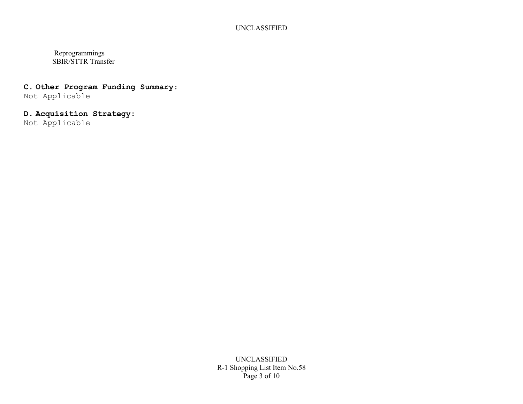Reprogrammings SBIR/STTR Transfer

# **C. Other Program Funding Summary:**

Not Applicable

# **D. Acquisition Strategy:**

Not Applicable

UNCLASSIFIED R-1 Shopping List Item No.58 Page 3 of 10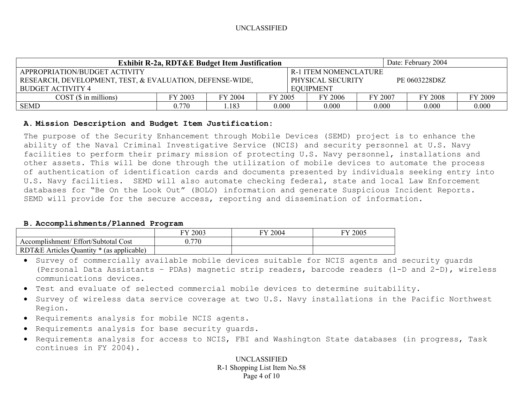|                                                                                                         | Date: February 2004<br><b>Exhibit R-2a, RDT&amp;E Budget Item Justification</b> |               |       |                  |       |       |       |       |  |  |  |  |  |  |  |
|---------------------------------------------------------------------------------------------------------|---------------------------------------------------------------------------------|---------------|-------|------------------|-------|-------|-------|-------|--|--|--|--|--|--|--|
| APPROPRIATION/BUDGET ACTIVITY<br><b>R-1 ITEM NOMENCLATURE</b>                                           |                                                                                 |               |       |                  |       |       |       |       |  |  |  |  |  |  |  |
| RESEARCH, DEVELOPMENT, TEST, & EVALUATION, DEFENSE-WIDE,                                                | PHYSICAL SECURITY                                                               | PE 0603228D8Z |       |                  |       |       |       |       |  |  |  |  |  |  |  |
| BUDGET ACTIVITY 4                                                                                       |                                                                                 |               |       | <b>EOUIPMENT</b> |       |       |       |       |  |  |  |  |  |  |  |
| FY 2009<br>FY 2004<br>FY 2003<br>FY 2005<br>FY 2006<br>FY 2007<br><b>FY 2008</b><br>COST(S in millions) |                                                                                 |               |       |                  |       |       |       |       |  |  |  |  |  |  |  |
| <b>SEMD</b>                                                                                             | 0.770                                                                           | .183          | 0.000 |                  | 0.000 | 0.000 | 0.000 | 0.000 |  |  |  |  |  |  |  |

## **A. Mission Description and Budget Item Justification:**

The purpose of the Security Enhancement through Mobile Devices (SEMD) project is to enhance the ability of the Naval Criminal Investigative Service (NCIS) and security personnel at U.S. Navy facilities to perform their primary mission of protecting U.S. Navy personnel, installations and other assets. This will be done through the utilization of mobile devices to automate the process of authentication of identification cards and documents presented by individuals seeking entry into U.S. Navy facilities. SEMD will also automate checking federal, state and local Law Enforcement databases for "Be On the Look Out" (BOLO) information and generate Suspicious Incident Reports. SEMD will provide for the secure access, reporting and dissemination of information.

### **B. Accomplishments/Planned Program**

|                                                   | 2003<br>ГV | 2004<br>гv. | 2005 |
|---------------------------------------------------|------------|-------------|------|
| ' Effort/Subtotal Cost<br>Accomplishment/         | .770       |             |      |
| RDT&E<br>Articles Quantity *<br>(as applicable) * |            |             |      |

- Survey of commercially available mobile devices suitable for NCIS agents and security guards (Personal Data Assistants – PDAs) magnetic strip readers, barcode readers (1-D and 2-D), wireless communications devices.
- Test and evaluate of selected commercial mobile devices to determine suitability.
- Survey of wireless data service coverage at two U.S. Navy installations in the Pacific Northwest Region.
- Requirements analysis for mobile NCIS agents.
- Requirements analysis for base security guards.
- Requirements analysis for access to NCIS, FBI and Washington State databases (in progress, Task continues in FY 2004).

UNCLASSIFIED R-1 Shopping List Item No.58 Page 4 of 10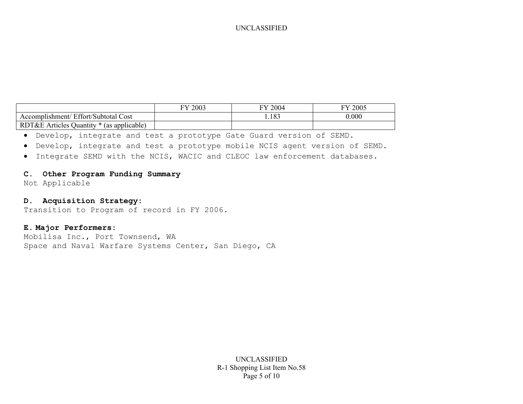|                                                          | 2003<br><b>TV</b> | FY 2004 | 2005<br>EV |
|----------------------------------------------------------|-------------------|---------|------------|
| ' Effort/Subtotal Cost<br>Accomplishment/                |                   | 1.183   | 0.000      |
| RDT&E A<br>J Quantity *<br>s (as applicable)<br>Articles |                   |         |            |

- Develop, integrate and test a prototype Gate Guard version of SEMD.
- Develop, integrate and test a prototype mobile NCIS agent version of SEMD.
- Integrate SEMD with the NCIS, WACIC and CLEOC law enforcement databases.

## **C. Other Program Funding Summary**

Not Applicable

## **D. Acquisition Strategy:**

Transition to Program of record in FY 2006.

## **E. Major Performers:**

Mobilisa Inc., Port Townsend, WA Space and Naval Warfare Systems Center, San Diego, CA

> UNCLASSIFIED R-1 Shopping List Item No.58 Page 5 of 10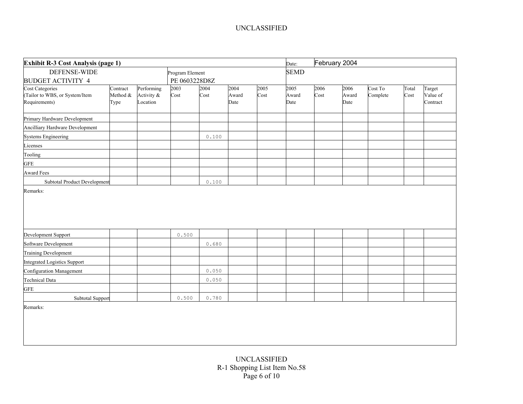| Exhibit R-3 Cost Analysis (page 1)                                        | Date:                        | February 2004                        |                 |                |                       |              |                       |              |                       |                     |               |                                |
|---------------------------------------------------------------------------|------------------------------|--------------------------------------|-----------------|----------------|-----------------------|--------------|-----------------------|--------------|-----------------------|---------------------|---------------|--------------------------------|
| DEFENSE-WIDE                                                              |                              |                                      | Program Element |                |                       |              | <b>SEMD</b>           |              |                       |                     |               |                                |
| <b>BUDGET ACTIVITY 4</b>                                                  |                              |                                      | PE 0603228D8Z   |                |                       |              |                       |              |                       |                     |               |                                |
| <b>Cost Categories</b><br>(Tailor to WBS, or System/Item<br>Requirements) | Contract<br>Method &<br>Type | Performing<br>Activity &<br>Location | 2003<br>Cost    | 2004<br>Cost   | 2004<br>Award<br>Date | 2005<br>Cost | 2005<br>Award<br>Date | 2006<br>Cost | 2006<br>Award<br>Date | Cost To<br>Complete | Total<br>Cost | Target<br>Value of<br>Contract |
| Primary Hardware Development                                              |                              |                                      |                 |                |                       |              |                       |              |                       |                     |               |                                |
| Ancilliary Hardware Development                                           |                              |                                      |                 |                |                       |              |                       |              |                       |                     |               |                                |
| <b>Systems Engineering</b>                                                |                              |                                      |                 | 0.100          |                       |              |                       |              |                       |                     |               |                                |
| Licenses                                                                  |                              |                                      |                 |                |                       |              |                       |              |                       |                     |               |                                |
| Tooling                                                                   |                              |                                      |                 |                |                       |              |                       |              |                       |                     |               |                                |
| <b>GFE</b>                                                                |                              |                                      |                 |                |                       |              |                       |              |                       |                     |               |                                |
| <b>Award Fees</b>                                                         |                              |                                      |                 |                |                       |              |                       |              |                       |                     |               |                                |
| Subtotal Product Development                                              |                              |                                      |                 | 0.100          |                       |              |                       |              |                       |                     |               |                                |
|                                                                           |                              |                                      |                 |                |                       |              |                       |              |                       |                     |               |                                |
| Development Support                                                       |                              |                                      | 0.500           |                |                       |              |                       |              |                       |                     |               |                                |
| Software Development                                                      |                              |                                      |                 | 0.680          |                       |              |                       |              |                       |                     |               |                                |
| <b>Training Development</b>                                               |                              |                                      |                 |                |                       |              |                       |              |                       |                     |               |                                |
| <b>Integrated Logistics Support</b>                                       |                              |                                      |                 |                |                       |              |                       |              |                       |                     |               |                                |
| <b>Configuration Management</b><br><b>Technical Data</b>                  |                              |                                      |                 | 0.050<br>0.050 |                       |              |                       |              |                       |                     |               |                                |
| <b>GFE</b>                                                                |                              |                                      |                 |                |                       |              |                       |              |                       |                     |               |                                |
| Subtotal Support                                                          |                              |                                      | 0.500           | 0.780          |                       |              |                       |              |                       |                     |               |                                |
| Remarks:                                                                  |                              |                                      |                 |                |                       |              |                       |              |                       |                     |               |                                |
|                                                                           |                              |                                      |                 |                |                       |              |                       |              |                       |                     |               |                                |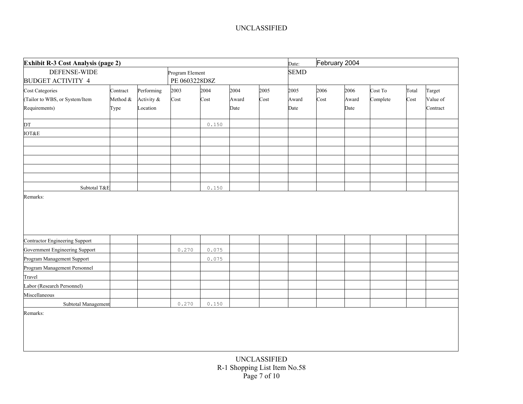| Exhibit R-3 Cost Analysis (page 2) | Date:    | February 2004 |                 |       |       |      |             |      |       |          |       |          |
|------------------------------------|----------|---------------|-----------------|-------|-------|------|-------------|------|-------|----------|-------|----------|
| <b>DEFENSE-WIDE</b>                |          |               | Program Element |       |       |      | <b>SEMD</b> |      |       |          |       |          |
| <b>BUDGET ACTIVITY 4</b>           |          |               | PE 0603228D8Z   |       |       |      |             |      |       |          |       |          |
| Cost Categories                    | Contract | Performing    | 2003            | 2004  | 2004  | 2005 | 2005        | 2006 | 2006  | Cost To  | Total | Target   |
| (Tailor to WBS, or System/Item     | Method & | Activity &    | Cost            | Cost  | Award | Cost | Award       | Cost | Award | Complete | Cost  | Value of |
| Requirements)                      | Type     | Location      |                 |       | Date  |      | Date        |      | Date  |          |       | Contract |
| DT                                 |          |               |                 | 0.150 |       |      |             |      |       |          |       |          |
| <b>IOT&amp;E</b>                   |          |               |                 |       |       |      |             |      |       |          |       |          |
|                                    |          |               |                 |       |       |      |             |      |       |          |       |          |
|                                    |          |               |                 |       |       |      |             |      |       |          |       |          |
|                                    |          |               |                 |       |       |      |             |      |       |          |       |          |
|                                    |          |               |                 |       |       |      |             |      |       |          |       |          |
|                                    |          |               |                 |       |       |      |             |      |       |          |       |          |
| Subtotal T&E                       |          |               |                 | 0.150 |       |      |             |      |       |          |       |          |
|                                    |          |               |                 |       |       |      |             |      |       |          |       |          |
| Contractor Engineering Support     |          |               |                 |       |       |      |             |      |       |          |       |          |
| Government Engineering Support     |          |               | 0.270           | 0.075 |       |      |             |      |       |          |       |          |
| Program Management Support         |          |               |                 | 0.075 |       |      |             |      |       |          |       |          |
| Program Management Personnel       |          |               |                 |       |       |      |             |      |       |          |       |          |
| Travel                             |          |               |                 |       |       |      |             |      |       |          |       |          |
| Labor (Research Personnel)         |          |               |                 |       |       |      |             |      |       |          |       |          |
| Miscellaneous                      |          |               |                 |       |       |      |             |      |       |          |       |          |
| Subtotal Management                |          |               | 0.270           | 0.150 |       |      |             |      |       |          |       |          |
| Remarks:                           |          |               |                 |       |       |      |             |      |       |          |       |          |
|                                    |          |               |                 |       |       |      |             |      |       |          |       |          |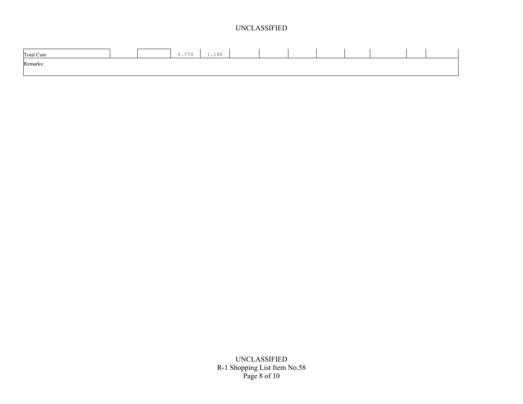| <b>Total Cost</b> |  | 0.770 | 1,180 |  |  |  |  |
|-------------------|--|-------|-------|--|--|--|--|
| Remarks:          |  |       |       |  |  |  |  |
|                   |  |       |       |  |  |  |  |

UNCLASSIFIED R-1 Shopping List Item No.58 Page 8 of 10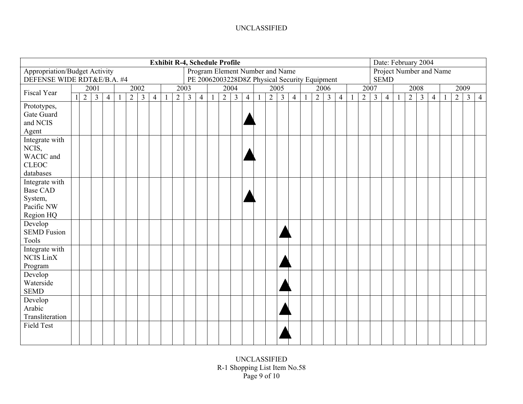| <b>Exhibit R-4, Schedule Profile</b>                                                                                     |  |                |                |                |    |                |                |                |              |   |                |                | Date: February 2004 |                |                         |                |                |                |                |                |                |                |                |                |                |  |                |                |                |                |                |                |
|--------------------------------------------------------------------------------------------------------------------------|--|----------------|----------------|----------------|----|----------------|----------------|----------------|--------------|---|----------------|----------------|---------------------|----------------|-------------------------|----------------|----------------|----------------|----------------|----------------|----------------|----------------|----------------|----------------|----------------|--|----------------|----------------|----------------|----------------|----------------|----------------|
| <b>Appropriation/Budget Activity</b><br>Program Element Number and Name<br>PE 20062003228D8Z Physical Security Equipment |  |                |                |                |    |                |                |                |              |   |                |                |                     |                | Project Number and Name |                |                |                |                |                |                |                |                |                |                |  |                |                |                |                |                |                |
| DEFENSE WIDE RDT&E/B.A. #4                                                                                               |  |                |                |                |    |                |                |                |              |   |                |                |                     |                |                         |                |                |                |                |                |                |                |                |                | <b>SEMD</b>    |  |                |                |                |                |                |                |
| <b>Fiscal Year</b>                                                                                                       |  |                | 2001           |                |    |                | 2002           |                |              |   | 2003           |                |                     |                | 2004                    |                |                | 2005           |                |                | 2006           |                |                | 2007           |                |  |                | 2008           |                | 2009           |                |                |
|                                                                                                                          |  | $\overline{2}$ | $\overline{3}$ | $\overline{4}$ | -1 | $\overline{2}$ | $\overline{3}$ | $\overline{4}$ | $\mathbf{1}$ | 2 | $\overline{3}$ | $\overline{4}$ | $\mathbf{1}$        | $\overline{2}$ | $\overline{3}$          | $\overline{4}$ | $\overline{2}$ | $\overline{3}$ | $\overline{4}$ | $\overline{2}$ | $\mathfrak{Z}$ | $\overline{4}$ | $\overline{2}$ | $\overline{3}$ | $\overline{4}$ |  | $\overline{2}$ | $\mathfrak{Z}$ | $\overline{4}$ | 2 <sup>1</sup> | $\overline{3}$ | $\overline{4}$ |
| Prototypes,                                                                                                              |  |                |                |                |    |                |                |                |              |   |                |                |                     |                |                         |                |                |                |                |                |                |                |                |                |                |  |                |                |                |                |                |                |
| Gate Guard                                                                                                               |  |                |                |                |    |                |                |                |              |   |                |                |                     |                |                         |                |                |                |                |                |                |                |                |                |                |  |                |                |                |                |                |                |
| and NCIS                                                                                                                 |  |                |                |                |    |                |                |                |              |   |                |                |                     |                |                         |                |                |                |                |                |                |                |                |                |                |  |                |                |                |                |                |                |
| Agent                                                                                                                    |  |                |                |                |    |                |                |                |              |   |                |                |                     |                |                         |                |                |                |                |                |                |                |                |                |                |  |                |                |                |                |                |                |
| Integrate with                                                                                                           |  |                |                |                |    |                |                |                |              |   |                |                |                     |                |                         |                |                |                |                |                |                |                |                |                |                |  |                |                |                |                |                |                |
| NCIS,                                                                                                                    |  |                |                |                |    |                |                |                |              |   |                |                |                     |                |                         |                |                |                |                |                |                |                |                |                |                |  |                |                |                |                |                |                |
| WACIC and                                                                                                                |  |                |                |                |    |                |                |                |              |   |                |                |                     |                |                         |                |                |                |                |                |                |                |                |                |                |  |                |                |                |                |                |                |
| <b>CLEOC</b>                                                                                                             |  |                |                |                |    |                |                |                |              |   |                |                |                     |                |                         |                |                |                |                |                |                |                |                |                |                |  |                |                |                |                |                |                |
| databases                                                                                                                |  |                |                |                |    |                |                |                |              |   |                |                |                     |                |                         |                |                |                |                |                |                |                |                |                |                |  |                |                |                |                |                |                |
| Integrate with                                                                                                           |  |                |                |                |    |                |                |                |              |   |                |                |                     |                |                         |                |                |                |                |                |                |                |                |                |                |  |                |                |                |                |                |                |
| <b>Base CAD</b>                                                                                                          |  |                |                |                |    |                |                |                |              |   |                |                |                     |                |                         |                |                |                |                |                |                |                |                |                |                |  |                |                |                |                |                |                |
| System,                                                                                                                  |  |                |                |                |    |                |                |                |              |   |                |                |                     |                |                         |                |                |                |                |                |                |                |                |                |                |  |                |                |                |                |                |                |
| Pacific NW                                                                                                               |  |                |                |                |    |                |                |                |              |   |                |                |                     |                |                         |                |                |                |                |                |                |                |                |                |                |  |                |                |                |                |                |                |
| Region HQ                                                                                                                |  |                |                |                |    |                |                |                |              |   |                |                |                     |                |                         |                |                |                |                |                |                |                |                |                |                |  |                |                |                |                |                |                |
| Develop                                                                                                                  |  |                |                |                |    |                |                |                |              |   |                |                |                     |                |                         |                |                |                |                |                |                |                |                |                |                |  |                |                |                |                |                |                |
| <b>SEMD Fusion</b>                                                                                                       |  |                |                |                |    |                |                |                |              |   |                |                |                     |                |                         |                |                |                |                |                |                |                |                |                |                |  |                |                |                |                |                |                |
| Tools                                                                                                                    |  |                |                |                |    |                |                |                |              |   |                |                |                     |                |                         |                |                |                |                |                |                |                |                |                |                |  |                |                |                |                |                |                |
| Integrate with                                                                                                           |  |                |                |                |    |                |                |                |              |   |                |                |                     |                |                         |                |                |                |                |                |                |                |                |                |                |  |                |                |                |                |                |                |
| <b>NCIS LinX</b>                                                                                                         |  |                |                |                |    |                |                |                |              |   |                |                |                     |                |                         |                |                |                |                |                |                |                |                |                |                |  |                |                |                |                |                |                |
| Program                                                                                                                  |  |                |                |                |    |                |                |                |              |   |                |                |                     |                |                         |                |                |                |                |                |                |                |                |                |                |  |                |                |                |                |                |                |
| Develop                                                                                                                  |  |                |                |                |    |                |                |                |              |   |                |                |                     |                |                         |                |                |                |                |                |                |                |                |                |                |  |                |                |                |                |                |                |
| Waterside                                                                                                                |  |                |                |                |    |                |                |                |              |   |                |                |                     |                |                         |                |                |                |                |                |                |                |                |                |                |  |                |                |                |                |                |                |
| <b>SEMD</b>                                                                                                              |  |                |                |                |    |                |                |                |              |   |                |                |                     |                |                         |                |                |                |                |                |                |                |                |                |                |  |                |                |                |                |                |                |
| Develop                                                                                                                  |  |                |                |                |    |                |                |                |              |   |                |                |                     |                |                         |                |                |                |                |                |                |                |                |                |                |  |                |                |                |                |                |                |
| Arabic                                                                                                                   |  |                |                |                |    |                |                |                |              |   |                |                |                     |                |                         |                |                |                |                |                |                |                |                |                |                |  |                |                |                |                |                |                |
| Transliteration                                                                                                          |  |                |                |                |    |                |                |                |              |   |                |                |                     |                |                         |                |                |                |                |                |                |                |                |                |                |  |                |                |                |                |                |                |
| <b>Field Test</b>                                                                                                        |  |                |                |                |    |                |                |                |              |   |                |                |                     |                |                         |                |                |                |                |                |                |                |                |                |                |  |                |                |                |                |                |                |
|                                                                                                                          |  |                |                |                |    |                |                |                |              |   |                |                |                     |                |                         |                |                |                |                |                |                |                |                |                |                |  |                |                |                |                |                |                |